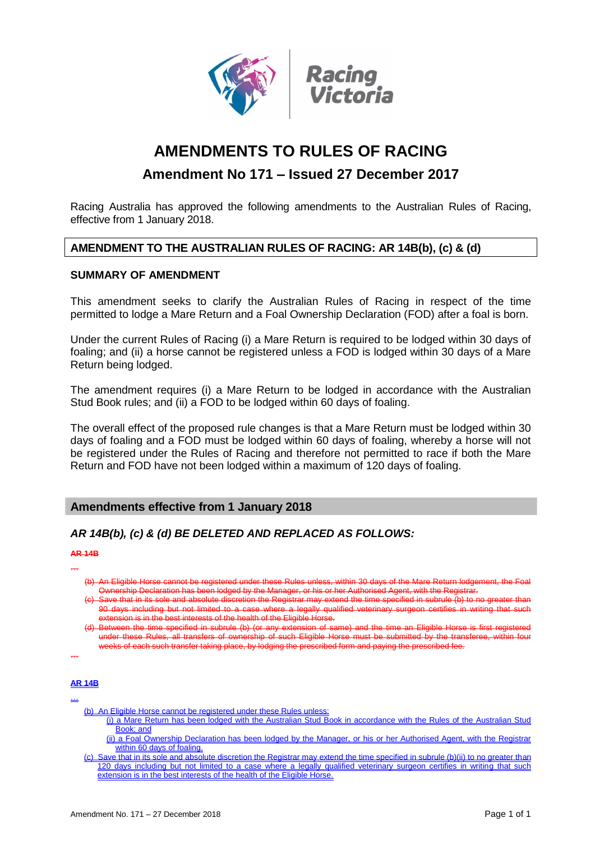

# **AMENDMENTS TO RULES OF RACING**

## **Amendment No 171 – Issued 27 December 2017**

Racing Australia has approved the following amendments to the Australian Rules of Racing, effective from 1 January 2018.

### **AMENDMENT TO THE AUSTRALIAN RULES OF RACING: AR 14B(b), (c) & (d)**

#### **SUMMARY OF AMENDMENT**

This amendment seeks to clarify the Australian Rules of Racing in respect of the time permitted to lodge a Mare Return and a Foal Ownership Declaration (FOD) after a foal is born.

Under the current Rules of Racing (i) a Mare Return is required to be lodged within 30 days of foaling; and (ii) a horse cannot be registered unless a FOD is lodged within 30 days of a Mare Return being lodged.

The amendment requires (i) a Mare Return to be lodged in accordance with the Australian Stud Book rules; and (ii) a FOD to be lodged within 60 days of foaling.

The overall effect of the proposed rule changes is that a Mare Return must be lodged within 30 days of foaling and a FOD must be lodged within 60 days of foaling, whereby a horse will not be registered under the Rules of Racing and therefore not permitted to race if both the Mare Return and FOD have not been lodged within a maximum of 120 days of foaling.

#### **Amendments effective from 1 January 2018**

## *AR 14B(b), (c) & (d) BE DELETED AND REPLACED AS FOLLOWS:*

#### **AR 14B**

…

- (b) An Eligible Horse cannot be registered under these Rules unless, within 30 days of the Mare Return lodgement, the Foal hip Declaration has been lodged by the Manager, or his or her Authorised Agent, with the Registrar.<br>at in its sele and absolute discretion the Registrar may extend the time specified in subrule (b) to no
- (c) Save that in its sole and absolute discretion the Registrar may extend the time specified in subrule (b) to no greater than 90 days including but not limited to a case where a legally qualified veterinary surgeon certifies in writing that such extension is in the best interests of the health of the Eligible Horse.
- en the time specified in subrule (b) (or any extension of same) and the time an Eligible Horse is first registe under these Rules, all transfers of ownership of such Eligible Horse must be submitted by the transferee, within four weeks of each such transfer taking place, by lodging the prescribed form and paying the prescribed fee.

…

#### **AR 14B**

…

- (b) An Eligible Horse cannot be registered under these Rules unless
	- (i) a Mare Return has been lodged with the Australian Stud Book in accordance with the Rules of the Australian Stud Book; and
- (ii) a Foal Ownership Declaration has been lodged by the Manager, or his or her Authorised Agent, with the Registrar within 60 days of foaling.<br>(c) Save that in its sole and absol
- scretion the Registrar may extend the time specified in subrule (b)(ii) to no greater than 120 days including but not limited to a case where a legally qualified veterinary surgeon certifies in writing that such extension is in the best interests of the health of the Eligible Horse.